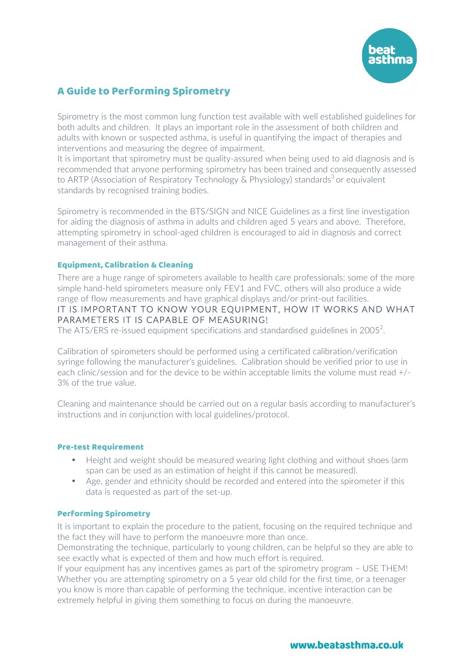

# A Guide to Performing Spirometry

Spirometry is the most common lung function test available with well established guidelines for both adults and children. It plays an important role in the assessment of both children and adults with known or suspected asthma, is useful in quantifying the impact of therapies and interventions and measuring the degree of impairment.

It is important that spirometry must be quality-assured when being used to aid diagnosis and is recommended that anyone performing spirometry has been trained and consequently assessed to ARTP (Association of Respiratory Technology & Physiology) standards<sup>3</sup> or equivalent standards by recognised training bodies.

Spirometry is recommended in the BTS/SIGN and NICE Guidelines as a first line investigation for aiding the diagnosis of asthma in adults and children aged 5 years and above. Therefore, attempting spirometry in school-aged children is encouraged to aid in diagnosis and correct management of their asthma.

# Equipment, Calibration & Cleaning

There are a huge range of spirometers available to health care professionals; some of the more simple hand-held spirometers measure only FEV1 and FVC, others will also produce a wide range of flow measurements and have graphical displays and/or print-out facilities. IT IS IMPORTANT TO KNOW YOUR EQUIPMENT, HOW IT WORKS AND WHAT PARAMETERS IT IS CAPABLE OF MEASURING! The ATS/ERS re-issued equipment specifications and standardised guidelines in 2005 $^2$ .

Calibration of spirometers should be performed using a certificated calibration/verification syringe following the manufacturer's guidelines. Calibration should be verified prior to use in each clinic/session and for the device to be within acceptable limits the volume must read +/- 3% of the true value.

Cleaning and maintenance should be carried out on a regular basis according to manufacturer's instructions and in conjunction with local guidelines/protocol.

#### Pre-test Requirement

- Height and weight should be measured wearing light clothing and without shoes (arm span can be used as an estimation of height if this cannot be measured).
- Age, gender and ethnicity should be recorded and entered into the spirometer if this data is requested as part of the set-up.

#### Performing Spirometry

It is important to explain the procedure to the patient, focusing on the required technique and the fact they will have to perform the manoeuvre more than once.

Demonstrating the technique, particularly to young children, can be helpful so they are able to see exactly what is expected of them and how much effort is required.

If your equipment has any incentives games as part of the spirometry program – USE THEM! Whether you are attempting spirometry on a 5 year old child for the first time, or a teenager you know is more than capable of performing the technique, incentive interaction can be extremely helpful in giving them something to focus on during the manoeuvre.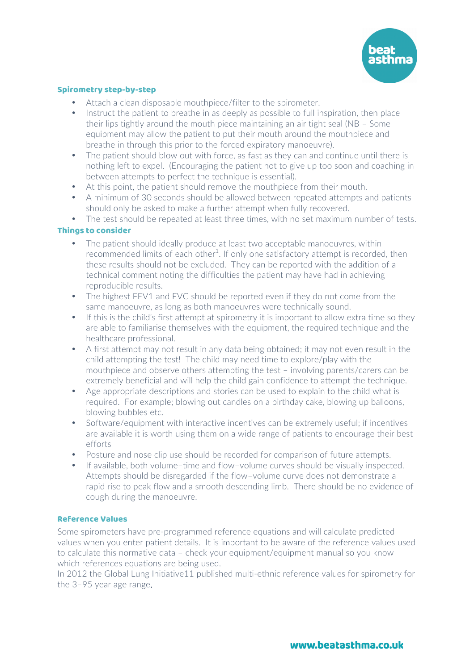

# Spirometry step-by-step

- Attach a clean disposable mouthpiece/filter to the spirometer.
- Instruct the patient to breathe in as deeply as possible to full inspiration, then place their lips tightly around the mouth piece maintaining an air tight seal (NB – Some equipment may allow the patient to put their mouth around the mouthpiece and breathe in through this prior to the forced expiratory manoeuvre).
- The patient should blow out with force, as fast as they can and continue until there is nothing left to expel. (Encouraging the patient not to give up too soon and coaching in between attempts to perfect the technique is essential).
- At this point, the patient should remove the mouthpiece from their mouth.
- A minimum of 30 seconds should be allowed between repeated attempts and patients should only be asked to make a further attempt when fully recovered.
- The test should be repeated at least three times, with no set maximum number of tests.

# Things to consider

- The patient should ideally produce at least two acceptable manoeuvres, within recommended limits of each other $^1$ . If only one satisfactory attempt is recorded, then these results should not be excluded. They can be reported with the addition of a technical comment noting the difficulties the patient may have had in achieving reproducible results.
- The highest FEV1 and FVC should be reported even if they do not come from the same manoeuvre, as long as both manoeuvres were technically sound.
- If this is the child's first attempt at spirometry it is important to allow extra time so they are able to familiarise themselves with the equipment, the required technique and the healthcare professional.
- A first attempt may not result in any data being obtained; it may not even result in the child attempting the test! The child may need time to explore/play with the mouthpiece and observe others attempting the test – involving parents/carers can be extremely beneficial and will help the child gain confidence to attempt the technique.
- Age appropriate descriptions and stories can be used to explain to the child what is required. For example; blowing out candles on a birthday cake, blowing up balloons, blowing bubbles etc.
- Software/equipment with interactive incentives can be extremely useful; if incentives are available it is worth using them on a wide range of patients to encourage their best efforts
- Posture and nose clip use should be recorded for comparison of future attempts.
- If available, both volume–time and flow–volume curves should be visually inspected. Attempts should be disregarded if the flow–volume curve does not demonstrate a rapid rise to peak flow and a smooth descending limb. There should be no evidence of cough during the manoeuvre.

# Reference Values

Some spirometers have pre-programmed reference equations and will calculate predicted values when you enter patient details. It is important to be aware of the reference values used to calculate this normative data – check your equipment/equipment manual so you know which references equations are being used.

In 2012 the Global Lung Initiative11 published multi-ethnic reference values for spirometry for the 3–95 year age range.